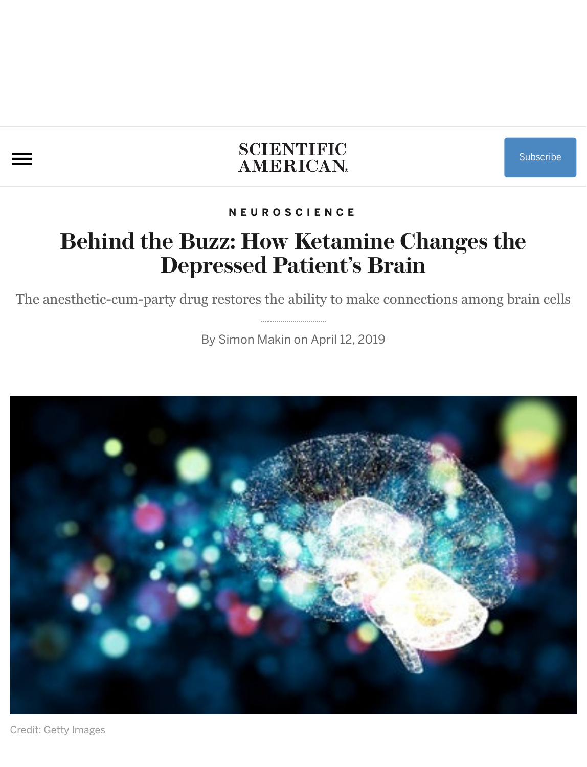## **SCIENTIFIC** AMERICAN.

#### **NEUROSCIENCE**

## **Behind the Buzz: How Ketamine Changes the Depressed Patient's Brain**

The anesthetic-cum-party drug r[estores the a](https://www.scientificamerican.com/author/simon-makin/)bility to make connections among brain cells

By Simon Makin on April 12, 2019



Credit: Getty Images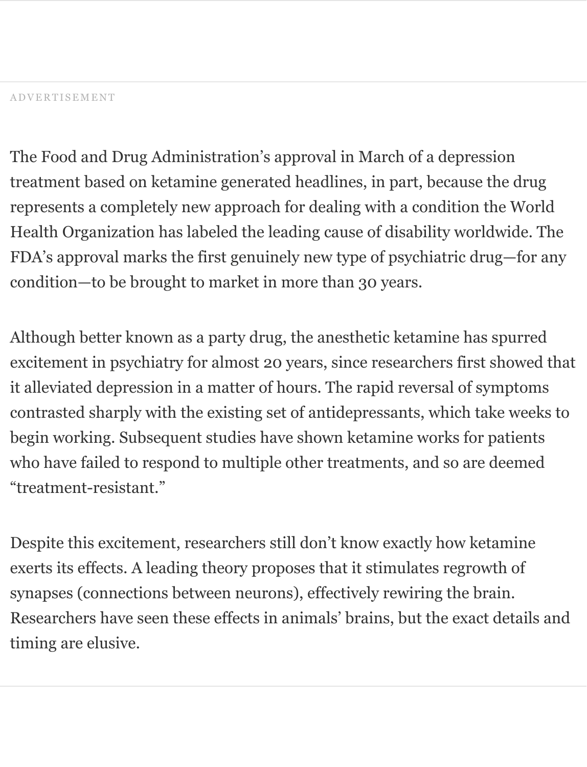The Food and Drug Administration's approval in March of a depression treatment based on ketamine generated headlines, in part, because the drug represents a completely new approach for dealing with a condition the World Health Organization has labeled the leading cause of disability worldwide. The FDA's approval marks the first genuinely new type of psychiatric drug—for any condition—to be brought to market in more than 30 years.

Although better known as a party drug, the anesthetic ketamine has spurred excitement in psychiatry for almost 20 years, since researchers first showed that it alleviated depression in a matter of hours. The rapid reversal of symptoms contrasted sharply with the existing set of antidepressants, which take weeks to begin working. Subsequent studies have shown ketamine works for patients who have failed to respond to multiple other treatments, and so are deemed "treatment-resistant."

Despite this excitement, researchers still don't know exactly how ketamine exerts its effects. A leading theory proposes that it stimulates regrowth of synapses (connections between neurons), effectively rewiring the brain. Researchers have seen these effects in animals' brains, but the exact details and timing are elusive.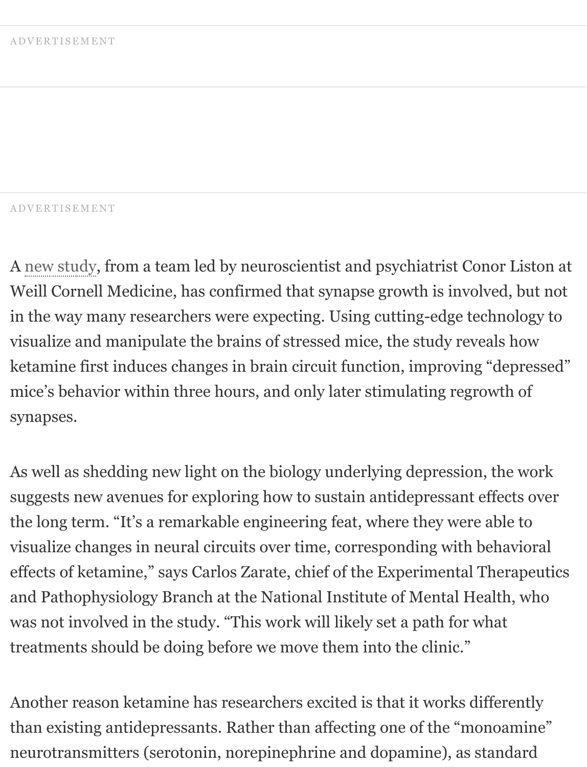#### ADVERTISEMENT

A new study, from a team led by neuroscientist and psychiatrist Conor Liston at Weill Cornell Medicine, has confirmed that synapse growth is involved, but not in the way many researchers were expecting. Using cutting-edge technology to visualize and manipulate the brains of stressed mice, the study reveals how ketamine first induces changes in brain circuit function, improving "depressed" mice's behavior within three hours, and only later stimulating regrowth of synapses.

As well as shedding new light on the biology underlying depression, the work suggests new avenues for exploring how to sustain antidepressant effects over the long term. "It's a remarkable engineering feat, where they were able to visualize changes in neural circuits over time, corresponding with behavioral effects of ketamine," says Carlos Zarate, chief of the Experimental Therapeutics and Pathophysiology Branch at the National Institute of Mental Health, who was not involved in the study. "This work will likely set a path for what treatments should be doing before we move them into the clinic."

Another reason ketamine has researchers excited is that it works differently than existing antidepressants. Rather than affecting one of the "monoamine" neurotransmitters (serotonin, norepinephrine and dopamine), as standard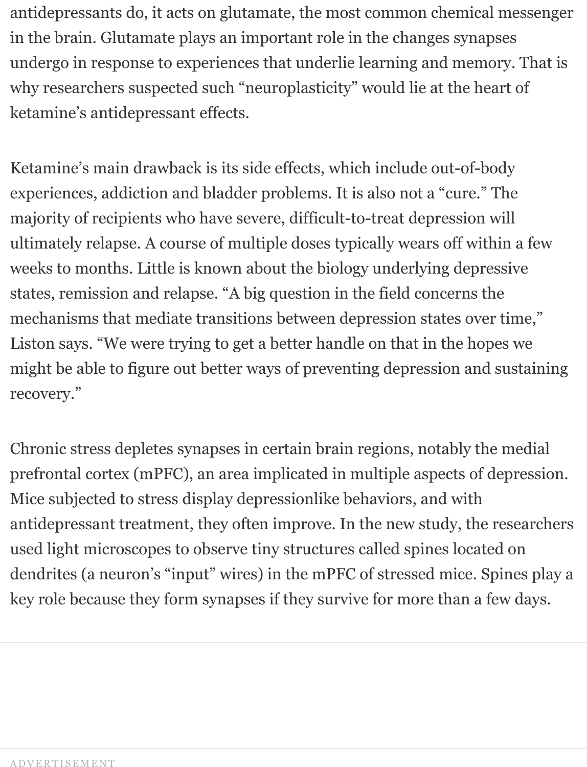antidepressants do, it acts on glutamate, the most common chemical messenger in the brain. Glutamate plays an important role in the changes synapses undergo in response to experiences that underlie learning and memory. That is why researchers suspected such "neuroplasticity" would lie at the heart of ketamine's antidepressant effects.

Ketamine's main drawback is its side effects, which include out-of-body experiences, addiction and bladder problems. It is also not a "cure." The majority of recipients who have severe, difficult-to-treat depression will ultimately relapse. A course of multiple doses typically wears off within a few weeks to months. Little is known about the biology underlying depressive states, remission and relapse. "A big question in the field concerns the mechanisms that mediate transitions between depression states over time," Liston says. "We were trying to get a better handle on that in the hopes we might be able to figure out better ways of preventing depression and sustaining recovery."

Chronic stress depletes synapses in certain brain regions, notably the medial prefrontal cortex (mPFC), an area implicated in multiple aspects of depression. Mice subjected to stress display depressionlike behaviors, and with antidepressant treatment, they often improve. In the new study, the researchers used light microscopes to observe tiny structures called spines located on dendrites (a neuron's "input" wires) in the mPFC of stressed mice. Spines play a key role because they form synapses if they survive for more than a few days.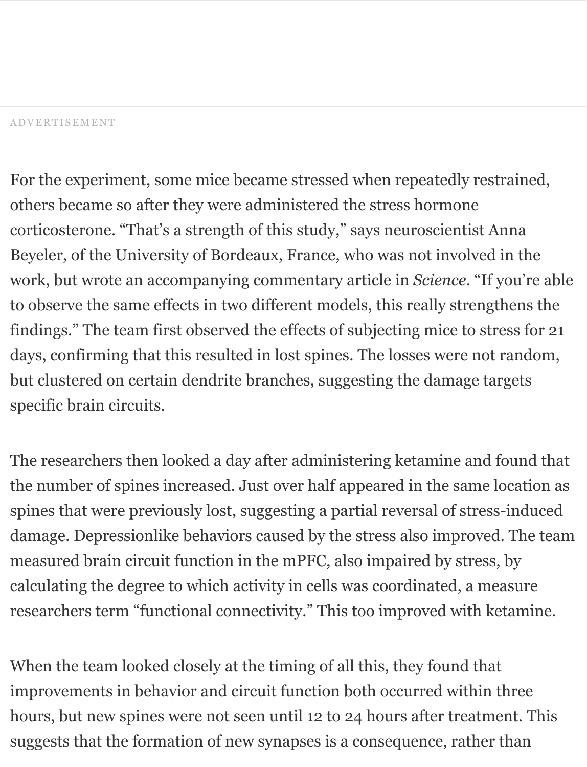For the experiment, some mice became stressed when repeatedly restrained, others became so after they were administered the stress hormone corticosterone. "That's a strength of this study," says neuroscientist Anna Beyeler, of the University of Bordeaux, France, who was not involved in the work, but wrote an accompanying commentary article in *Science*. "If you're able to observe the same effects in two different models, this really strengthens the findings." The team first observed the effects of subjecting mice to stress for 21 days, confirming that this resulted in lost spines. The losses were not random, but clustered on certain dendrite branches, suggesting the damage targets specific brain circuits.

The researchers then looked a day after administering ketamine and found that the number of spines increased. Just over half appeared in the same location as spines that were previously lost, suggesting a partial reversal of stress-induced damage. Depressionlike behaviors caused by the stress also improved. The team measured brain circuit function in the mPFC, also impaired by stress, by calculating the degree to which activity in cells was coordinated, a measure researchers term "functional connectivity." This too improved with ketamine.

When the team looked closely at the timing of all this, they found that improvements in behavior and circuit function both occurred within three hours, but new spines were not seen until 12 to 24 hours after treatment. This suggests that the formation of new synapses is a consequence, rather than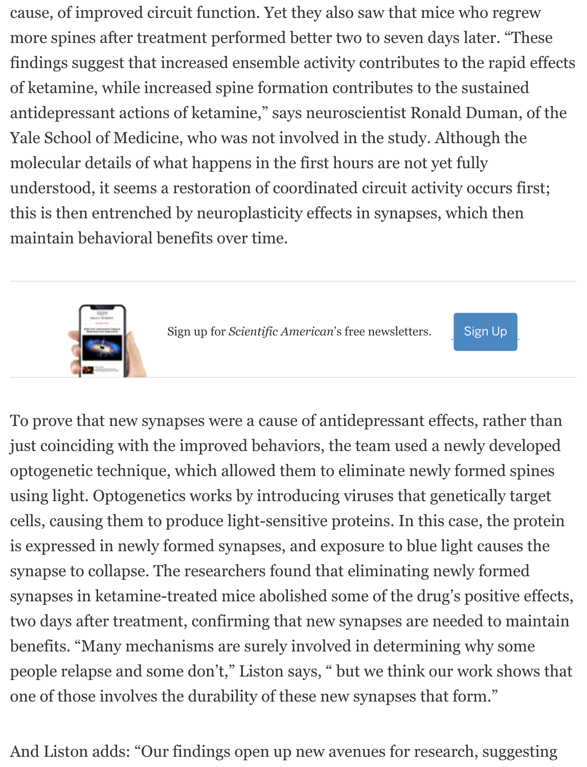cause, of improved circuit function. Yet they also saw that mice who regrew more spines after treatment performed better two to seven days later. "These findings suggest that increased ensemble activity contributes to the rapid effects of ketamine, while increased spine formation contributes to the sustained antidepressant actions of ketamine," says neuroscientist Ronald Duman, of the Yale School of Medicine, who was not involved in the study. Although the molecular details of what happens in the first hours are not yet fully understood, it seems a restoration of coordinated circuit activity occurs first; this is then entrenched by neuroplasticity effects in synapses, which then maintain behavioral benefits over time.



Sign up for *Scientific American*'s free newsletters.



To prove that new synapses were a cause of antidepressant effects, rather than just coinciding with the improved behaviors, the team used a newly developed optogenetic technique, which allowed them to eliminate newly formed spines using light. Optogenetics works by introducing viruses that genetically target cells, causing them to produce light-sensitive proteins. In this case, the protein is expressed in newly formed synapses, and exposure to blue light causes the synapse to collapse. The researchers found that eliminating newly formed synapses in ketamine-treated mice abolished some of the drug's positive effects, two days after treatment, confirming that new synapses are needed to maintain benefits. "Many mechanisms are surely involved in determining why some people relapse and some don't," Liston says, " but we think our work shows that one of those involves the durability of these new synapses that form."

And Liston adds: "Our findings open up new avenues for research, suggesting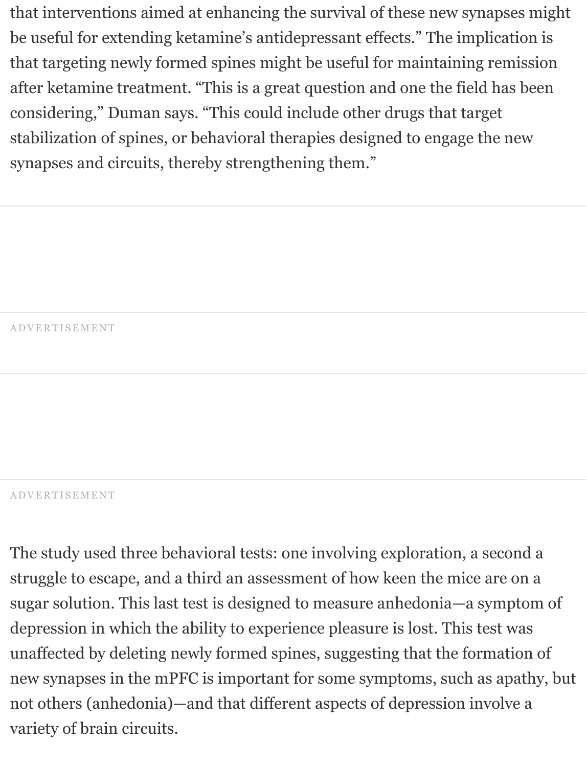that interventions aimed at enhancing the survival of these new synapses might be useful for extending ketamine's antidepressant effects." The implication is that targeting newly formed spines might be useful for maintaining remission after ketamine treatment. "This is a great question and one the field has been considering," Duman says. "This could include other drugs that target stabilization of spines, or behavioral therapies designed to engage the new synapses and circuits, thereby strengthening them."

ADVERTISEMENT

#### ADVERTISEMENT

The study used three behavioral tests: one involving exploration, a second a struggle to escape, and a third an assessment of how keen the mice are on a sugar solution. This last test is designed to measure anhedonia—a symptom of depression in which the ability to experience pleasure is lost. This test was unaffected by deleting newly formed spines, suggesting that the formation of new synapses in the mPFC is important for some symptoms, such as apathy, but not others (anhedonia)—and that different aspects of depression involve a variety of brain circuits.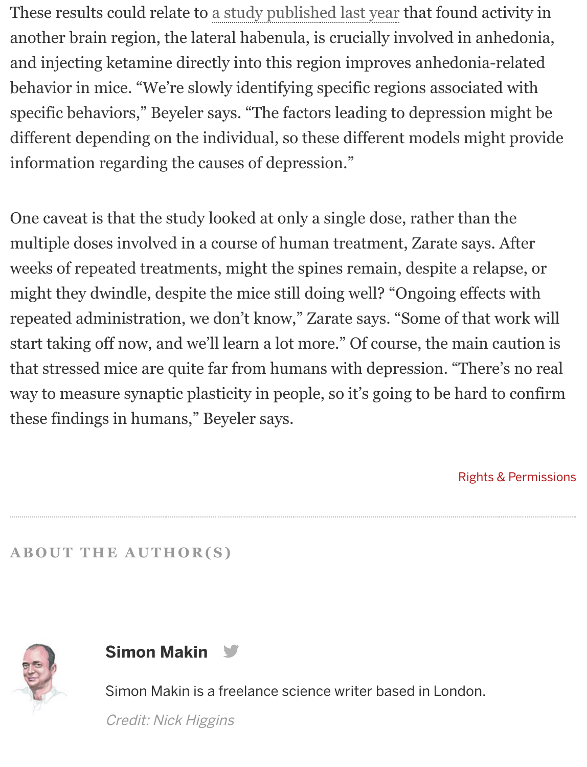These results could relate to a study published last year that found activity in another brain region, the lateral habenula, is crucially involved in anhedonia, and injecting ketamine directly into this region improves anhedonia-related behavior in mice. "We're slowly identifying specific regions associated with specific behaviors," Beyeler says. "The factors leading to depression might be different depending on the individual, so these different models might provide information regarding the causes of depression."

One caveat is that the study looked at only a single dose, rather than the multiple doses involved in a course of human treatment, Zarate says. After weeks of repeated treatments, might the spines remain, despite a relapse, or might they dwindle, despite the mice still doing well? "Ongoing effects with repeated administration, we don't know," Zarate says. "Some of that work will start taking off now, and we'll learn a lot more." Of course, the main caution is that stressed mice are quite far from humans with depression. "There's no real way to measure synaptic plasticity in people, so it's going to be hard to confirm these findings in humans," Beyeler says.

Rights & Permissions

**ABOUT THE AUTHOR(S)**





Simon Makin is a freelance science writer based in London.

Credit: Nick Higgins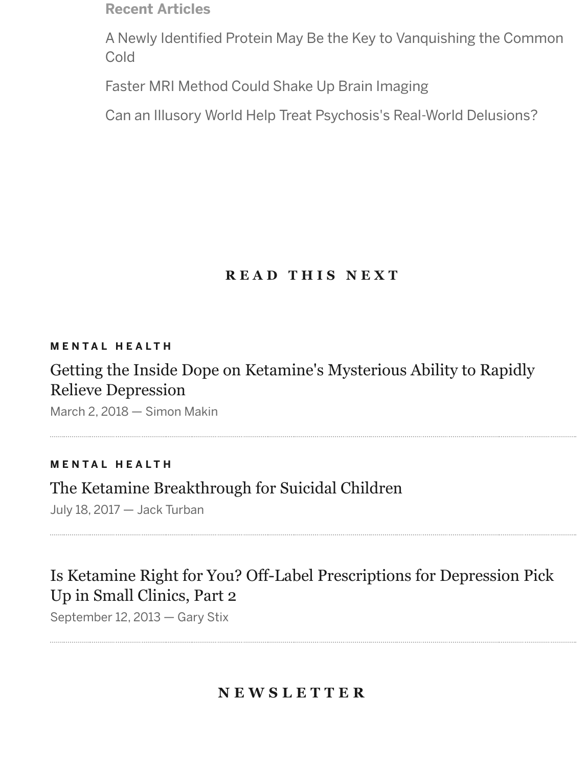**Recent Articles**

[A Newly Identified Protein May Be the Key to Vanquishing the Common](https://www.scientificamerican.com/article/a-newly-identified-protein-may-be-the-key-to-vanquishing-the-common-cold/) [Cold](https://www.scientificamerican.com/article/faster-mri-method-could-shake-up-brain-imaging/)

[Faster MRI Method Could Shake Up Brain Imaging](https://www.scientificamerican.com/article/can-an-illusory-world-help-treat-psychosiss-real-world-delusions/) 

Can an Illusory World Help Treat Psychosis's Real-World Delusions?

## **READ THIS NEXT**

#### **MENTAL HEALTH**

## [Getting the Inside Dope on Ketamine's Mysterious Ability to Rapidly](https://www.scientificamerican.com/article/getting-the-inside-dope-on-ketamine-rsquo-s-mysterious-ability-to-rapidly-relieve-depression/) Relieve Depression

March 2, 2018 — Simon Makin

#### **MENTAL HEALTH**

### [The Ketamine Breakthrough for Suicidal Children](https://www.scientificamerican.com/article/the-ketamine-breakthrough-for-suicidal-children/)

July 18, 2017 — Jack Turban

## [Is Ketamine Right for You? Off-Label Prescriptions for Depression Pick](https://blogs.scientificamerican.com/talking-back/is-ketamine-right-for-you-off-label-prescriptions-for-depression-pick-up-in-small-clinics-part-2/) Up in Small Clinics, Part 2

September 12, 2013 — Gary Stix

### **NEWSLETTER**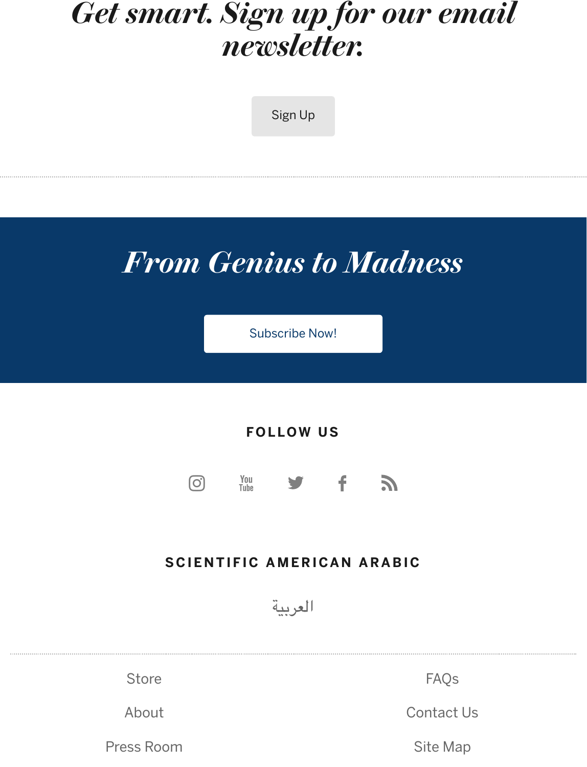# *Get smart. Sign up for our email newsletter.*

Sign Up

# *From Genius to Madness*

Subscribe Now!

**FOLLOW US**



#### **SCIENTIFIC [AMERI](https://www.scientificamerican.com/arabic/)CAN ARABIC**

العربية

| <b>Store</b> | <b>FAOS</b> |
|--------------|-------------|
| About        | Contact Us  |
| Press Room   | Site Map    |